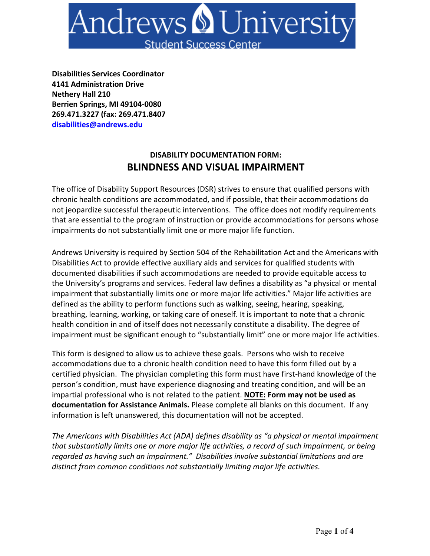

**Disabilities Services Coordinator 4141 Administration Drive Nethery Hall 210 Berrien Springs, MI 49104-0080 269.471.3227 (fax: 269.471.8407 disabilities@andrews.edu**

## **DISABILITY DOCUMENTATION FORM: BLINDNESS AND VISUAL IMPAIRMENT**

The office of Disability Support Resources (DSR) strives to ensure that qualified persons with chronic health conditions are accommodated, and if possible, that their accommodations do not jeopardize successful therapeutic interventions. The office does not modify requirements that are essential to the program of instruction or provide accommodations for persons whose impairments do not substantially limit one or more major life function.

Andrews University is required by Section 504 of the Rehabilitation Act and the Americans with Disabilities Act to provide effective auxiliary aids and services for qualified students with documented disabilities if such accommodations are needed to provide equitable access to the University's programs and services. Federal law defines a disability as "a physical or mental impairment that substantially limits one or more major life activities." Major life activities are defined as the ability to perform functions such as walking, seeing, hearing, speaking, breathing, learning, working, or taking care of oneself. It is important to note that a chronic health condition in and of itself does not necessarily constitute a disability. The degree of impairment must be significant enough to "substantially limit" one or more major life activities.

This form is designed to allow us to achieve these goals. Persons who wish to receive accommodations due to a chronic health condition need to have this form filled out by a certified physician. The physician completing this form must have first-hand knowledge of the person's condition, must have experience diagnosing and treating condition, and will be an impartial professional who is not related to the patient. **NOTE: Form may not be used as documentation for Assistance Animals.** Please complete all blanks on this document. If any information is left unanswered, this documentation will not be accepted.

*The Americans with Disabilities Act (ADA) defines disability as "a physical or mental impairment that substantially limits one or more major life activities, a record of such impairment, or being regarded as having such an impairment." Disabilities involve substantial limitations and are distinct from common conditions not substantially limiting major life activities.*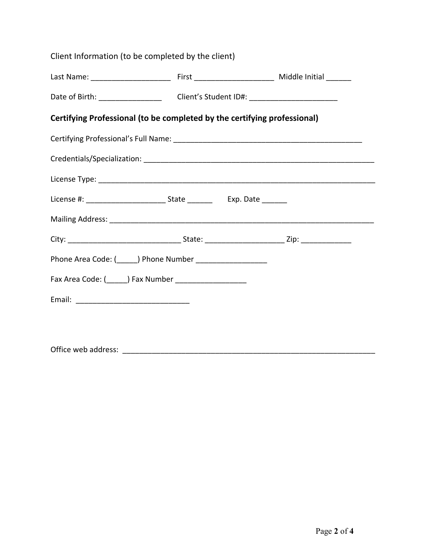| Client Information (to be completed by the client)                       |                                                                                   |  |  |  |  |
|--------------------------------------------------------------------------|-----------------------------------------------------------------------------------|--|--|--|--|
|                                                                          |                                                                                   |  |  |  |  |
|                                                                          | Date of Birth: __________________________Client's Student ID#: __________________ |  |  |  |  |
| Certifying Professional (to be completed by the certifying professional) |                                                                                   |  |  |  |  |
|                                                                          |                                                                                   |  |  |  |  |
|                                                                          |                                                                                   |  |  |  |  |
|                                                                          |                                                                                   |  |  |  |  |
|                                                                          |                                                                                   |  |  |  |  |
|                                                                          |                                                                                   |  |  |  |  |
|                                                                          |                                                                                   |  |  |  |  |
| Phone Area Code: (______) Phone Number _____________________             |                                                                                   |  |  |  |  |
| Fax Area Code: (______) Fax Number _____________________                 |                                                                                   |  |  |  |  |
|                                                                          |                                                                                   |  |  |  |  |
|                                                                          |                                                                                   |  |  |  |  |
|                                                                          |                                                                                   |  |  |  |  |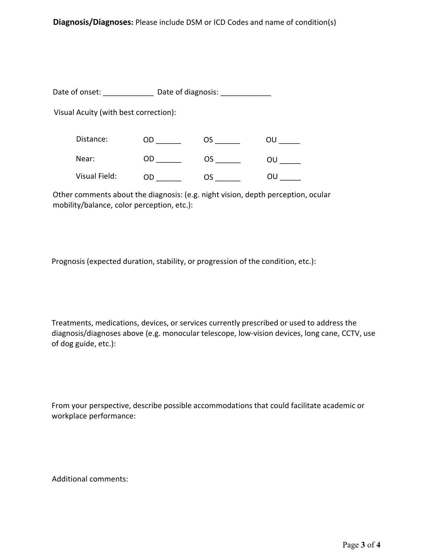Date of onset: \_\_\_\_\_\_\_\_\_\_\_\_\_\_\_ Date of diagnosis: \_\_\_\_\_\_\_\_\_\_\_\_\_\_\_\_\_\_\_\_\_\_\_\_\_\_\_\_\_\_\_

Visual Acuity (with best correction):

| Distance:     | CC | OS | ווח |
|---------------|----|----|-----|
| Near:         | OD | OS | OU  |
| Visual Field: | OD | OS | ווח |

Other comments about the diagnosis: (e.g. night vision, depth perception, ocular mobility/balance, color perception, etc.):

Prognosis (expected duration, stability, or progression of the condition, etc.):

Treatments, medications, devices, or services currently prescribed or used to address the diagnosis/diagnoses above (e.g. monocular telescope, low-vision devices, long cane, CCTV, use of dog guide, etc.):

From your perspective, describe possible accommodations that could facilitate academic or workplace performance:

Additional comments: